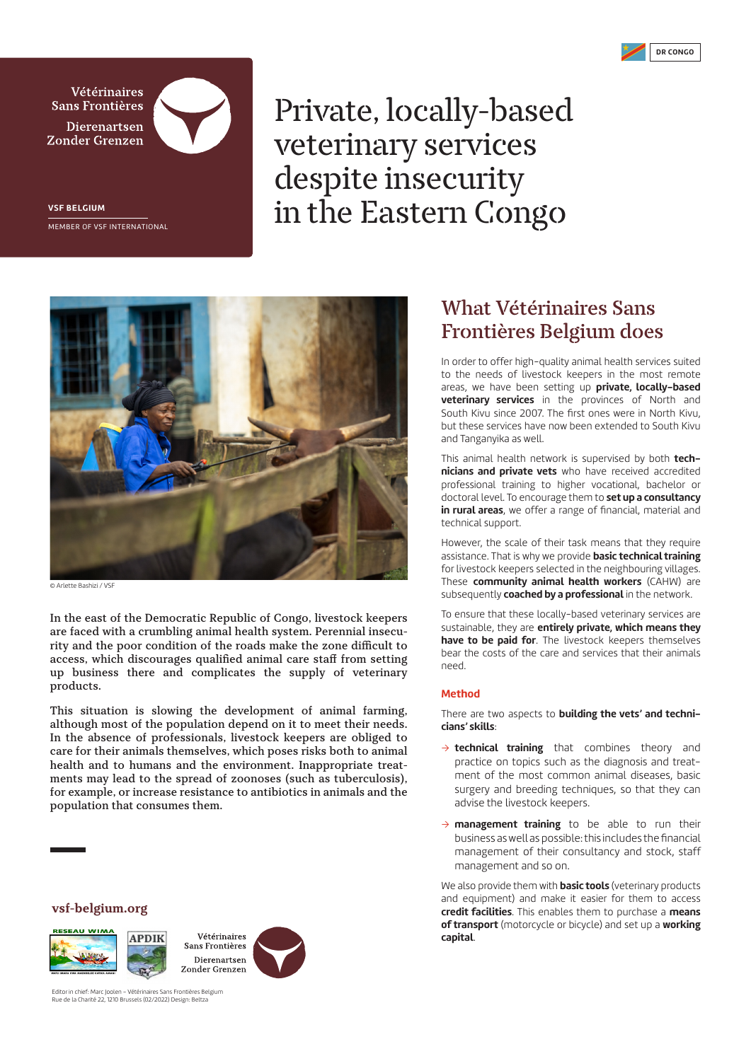

**Vétérinaires Sans Frontières Dierenartsen** Zonder Grenzen



**VSF BELGIUM** MEMBER OF VSF INTERNATIONAL

## Private, locally-based veterinary services despite insecurity in the Eastern Congo



© Arlette Bashizi / VSF

**In the east of the Democratic Republic of Congo, livestock keepers are faced with a crumbling animal health system. Perennial insecurity and the poor condition of the roads make the zone difficult to access, which discourages qualified animal care staff from setting up business there and complicates the supply of veterinary products.** 

**This situation is slowing the development of animal farming, although most of the population depend on it to meet their needs. In the absence of professionals, livestock keepers are obliged to care for their animals themselves, which poses risks both to animal health and to humans and the environment. Inappropriate treatments may lead to the spread of zoonoses (such as tuberculosis), for example, or increase resistance to antibiotics in animals and the population that consumes them.**

**vsf-belgium.org**





Editor in chief: Marc Joolen – Vétérinaires Sans Frontières Belgium Rue de la Charité 22, 1210 Brussels (02/2022) Design: Beltza

## **What Vétérinaires Sans Frontières Belgium does**

In order to offer high-quality animal health services suited to the needs of livestock keepers in the most remote areas, we have been setting up **private, locally-based veterinary services** in the provinces of North and South Kivu since 2007. The first ones were in North Kivu, but these services have now been extended to South Kivu and Tanganyika as well.

This animal health network is supervised by both **technicians and private vets** who have received accredited professional training to higher vocational, bachelor or doctoral level. To encourage them to **set up a consultancy in rural areas**, we offer a range of financial, material and technical support.

However, the scale of their task means that they require assistance. That is why we provide **basic technical training**  for livestock keepers selected in the neighbouring villages. These **community animal health workers** (CAHW) are subsequently **coached by a professional** in the network.

To ensure that these locally-based veterinary services are sustainable, they are **entirely private, which means they have to be paid for**. The livestock keepers themselves bear the costs of the care and services that their animals need.

## **Method**

There are two aspects to **building the vets' and technicians' skills**:

- $\rightarrow$  **technical training** that combines theory and practice on topics such as the diagnosis and treatment of the most common animal diseases, basic surgery and breeding techniques, so that they can advise the livestock keepers.
- $\rightarrow$  **management training** to be able to run their business as well as possible: this includes the financial management of their consultancy and stock, staff management and so on.

We also provide them with **basic tools** (veterinary products and equipment) and make it easier for them to access **credit facilities**. This enables them to purchase a **means of transport** (motorcycle or bicycle) and set up a **working capital**.